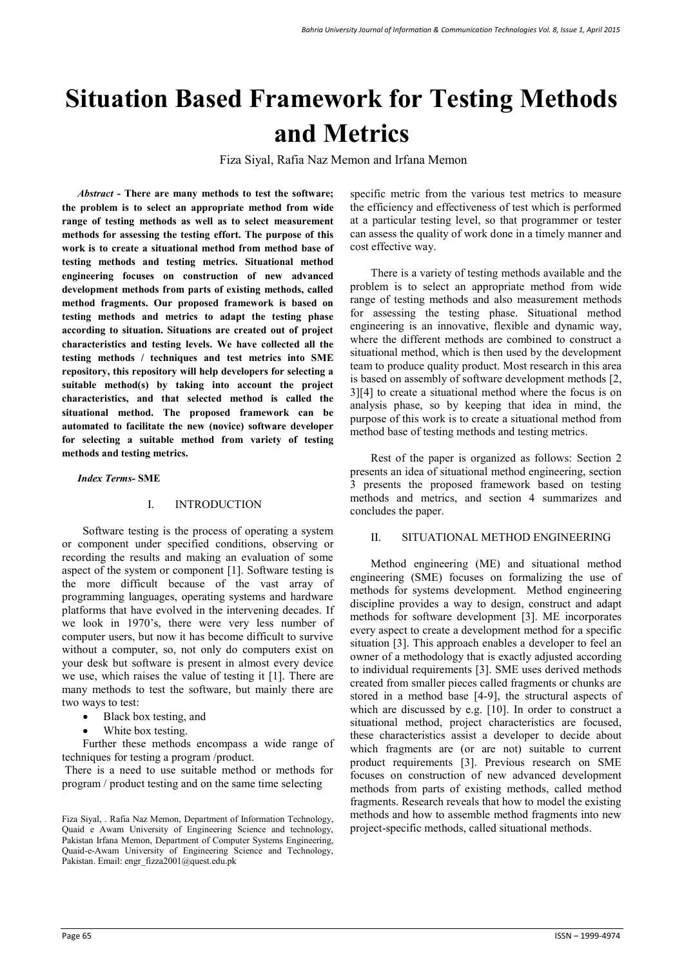# **Situation Based Framework for Testing Methods and Metrics**

Fiza Siyal, Rafia Naz Memon and Irfana Memon

*Abstract -* **There are many methods to test the software; the problem is to select an appropriate method from wide range of testing methods as well as to select measurement methods for assessing the testing effort. The purpose of this work is to create a situational method from method base of testing methods and testing metrics. Situational method engineering focuses on construction of new advanced development methods from parts of existing methods, called method fragments. Our proposed framework is based on testing methods and metrics to adapt the testing phase according to situation. Situations are created out of project characteristics and testing levels. We have collected all the testing methods / techniques and test metrics into SME repository, this repository will help developers for selecting a suitable method(s) by taking into account the project characteristics, and that selected method is called the situational method. The proposed framework can be automated to facilitate the new (novice) software developer for selecting a suitable method from variety of testing methods and testing metrics.** 

#### *Index Terms-* **SME**

#### I. INTRODUCTION

Software testing is the process of operating a system or component under specified conditions, observing or recording the results and making an evaluation of some aspect of the system or component [1]. Software testing is the more difficult because of the vast array of programming languages, operating systems and hardware platforms that have evolved in the intervening decades. If we look in 1970's, there were very less number of computer users, but now it has become difficult to survive without a computer, so, not only do computers exist on your desk but software is present in almost every device we use, which raises the value of testing it [1]. There are many methods to test the software, but mainly there are two ways to test:

- Black box testing, and
- White box testing.

Further these methods encompass a wide range of techniques for testing a program /product.

 There is a need to use suitable method or methods for program / product testing and on the same time selecting

specific metric from the various test metrics to measure the efficiency and effectiveness of test which is performed at a particular testing level, so that programmer or tester can assess the quality of work done in a timely manner and cost effective way.

There is a variety of testing methods available and the problem is to select an appropriate method from wide range of testing methods and also measurement methods for assessing the testing phase. Situational method engineering is an innovative, flexible and dynamic way, where the different methods are combined to construct a situational method, which is then used by the development team to produce quality product. Most research in this area is based on assembly of software development methods [2, 3][4] to create a situational method where the focus is on analysis phase, so by keeping that idea in mind, the purpose of this work is to create a situational method from method base of testing methods and testing metrics.

Rest of the paper is organized as follows: Section 2 presents an idea of situational method engineering, section 3 presents the proposed framework based on testing methods and metrics, and section 4 summarizes and concludes the paper.

#### II. SITUATIONAL METHOD ENGINEERING

Method engineering (ME) and situational method engineering (SME) focuses on formalizing the use of methods for systems development. Method engineering discipline provides a way to design, construct and adapt methods for software development [3]. ME incorporates every aspect to create a development method for a specific situation [3]. This approach enables a developer to feel an owner of a methodology that is exactly adjusted according to individual requirements [3]. SME uses derived methods created from smaller pieces called fragments or chunks are stored in a method base [4-9], the structural aspects of which are discussed by e.g. [10]. In order to construct a situational method, project characteristics are focused, these characteristics assist a developer to decide about which fragments are (or are not) suitable to current product requirements [3]. Previous research on SME focuses on construction of new advanced development methods from parts of existing methods, called method fragments. Research reveals that how to model the existing methods and how to assemble method fragments into new project-specific methods, called situational methods.

Fiza Siyal, . Rafia Naz Memon, Department of Information Technology, Quaid e Awam University of Engineering Science and technology, Pakistan Irfana Memon, Department of Computer Systems Engineering, Quaid-e-Awam University of Engineering Science and Technology, Pakistan. Email: engr\_fizza2001@quest.edu.pk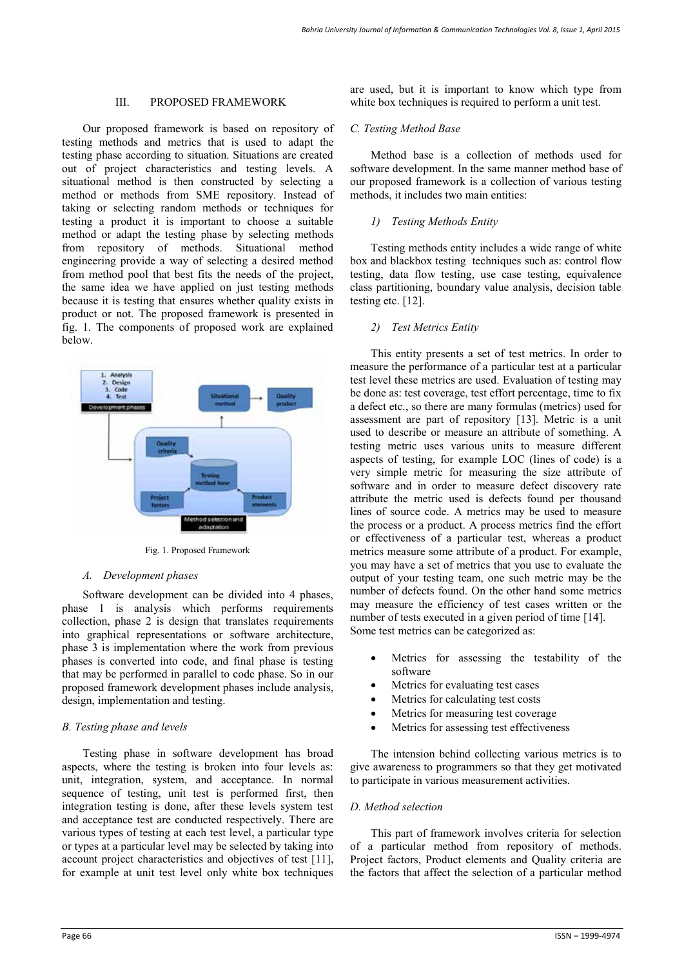#### III. PROPOSED FRAMEWORK

Our proposed framework is based on repository of testing methods and metrics that is used to adapt the testing phase according to situation. Situations are created out of project characteristics and testing levels. A situational method is then constructed by selecting a method or methods from SME repository. Instead of taking or selecting random methods or techniques for testing a product it is important to choose a suitable method or adapt the testing phase by selecting methods from repository of methods. Situational method engineering provide a way of selecting a desired method from method pool that best fits the needs of the project, the same idea we have applied on just testing methods because it is testing that ensures whether quality exists in product or not. The proposed framework is presented in fig. 1. The components of proposed work are explained below.



Fig. 1. Proposed Framework

# *A. Development phases*

Software development can be divided into 4 phases, phase 1 is analysis which performs requirements collection, phase 2 is design that translates requirements into graphical representations or software architecture, phase 3 is implementation where the work from previous phases is converted into code, and final phase is testing that may be performed in parallel to code phase. So in our proposed framework development phases include analysis, design, implementation and testing.

# *B. Testing phase and levels*

Testing phase in software development has broad aspects, where the testing is broken into four levels as: unit, integration, system, and acceptance. In normal sequence of testing, unit test is performed first, then integration testing is done, after these levels system test and acceptance test are conducted respectively. There are various types of testing at each test level, a particular type or types at a particular level may be selected by taking into account project characteristics and objectives of test [11], for example at unit test level only white box techniques are used, but it is important to know which type from white box techniques is required to perform a unit test.

# *C. Testing Method Base*

Method base is a collection of methods used for software development. In the same manner method base of our proposed framework is a collection of various testing methods, it includes two main entities:

# *1) Testing Methods Entity*

Testing methods entity includes a wide range of white box and blackbox testing techniques such as: control flow testing, data flow testing, use case testing, equivalence class partitioning, boundary value analysis, decision table testing etc. [12].

# *2) Test Metrics Entity*

This entity presents a set of test metrics. In order to measure the performance of a particular test at a particular test level these metrics are used. Evaluation of testing may be done as: test coverage, test effort percentage, time to fix a defect etc., so there are many formulas (metrics) used for assessment are part of repository [13]. Metric is a unit used to describe or measure an attribute of something. A testing metric uses various units to measure different aspects of testing, for example LOC (lines of code) is a very simple metric for measuring the size attribute of software and in order to measure defect discovery rate attribute the metric used is defects found per thousand lines of source code. A metrics may be used to measure the process or a product. A process metrics find the effort or effectiveness of a particular test, whereas a product metrics measure some attribute of a product. For example, you may have a set of metrics that you use to evaluate the output of your testing team, one such metric may be the number of defects found. On the other hand some metrics may measure the efficiency of test cases written or the number of tests executed in a given period of time [14]. Some test metrics can be categorized as:

- Metrics for assessing the testability of the software
- Metrics for evaluating test cases
- Metrics for calculating test costs
- Metrics for measuring test coverage
- Metrics for assessing test effectiveness

The intension behind collecting various metrics is to give awareness to programmers so that they get motivated to participate in various measurement activities.

# *D. Method selection*

This part of framework involves criteria for selection of a particular method from repository of methods. Project factors, Product elements and Quality criteria are the factors that affect the selection of a particular method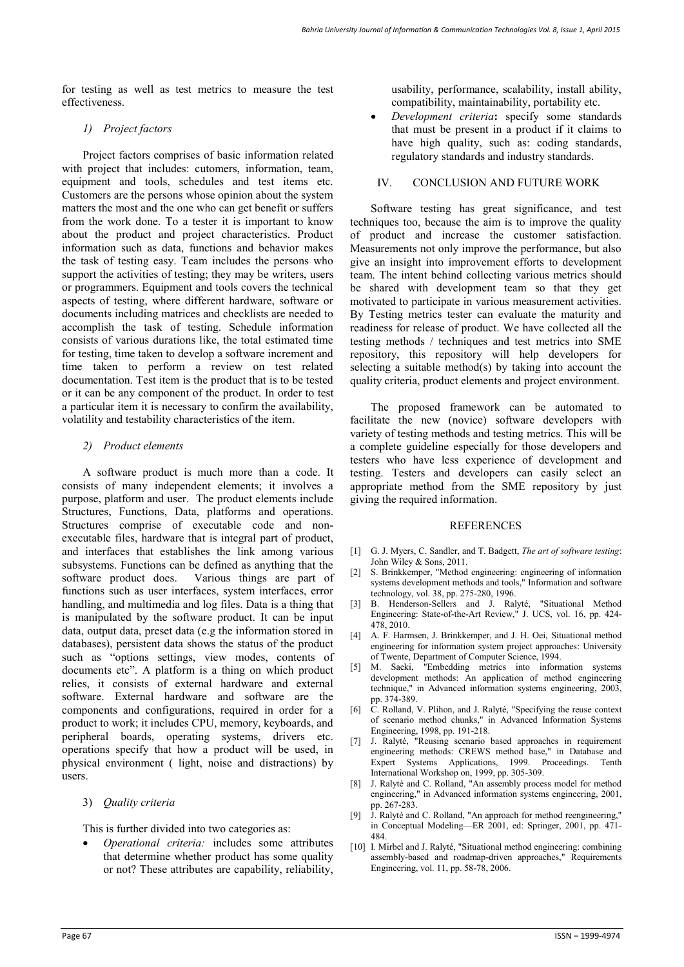for testing as well as test metrics to measure the test effectiveness.

#### *1) Project factors*

Project factors comprises of basic information related with project that includes: cutomers, information, team, equipment and tools, schedules and test items etc. Customers are the persons whose opinion about the system matters the most and the one who can get benefit or suffers from the work done. To a tester it is important to know about the product and project characteristics. Product information such as data, functions and behavior makes the task of testing easy. Team includes the persons who support the activities of testing; they may be writers, users or programmers. Equipment and tools covers the technical aspects of testing, where different hardware, software or documents including matrices and checklists are needed to accomplish the task of testing. Schedule information consists of various durations like, the total estimated time for testing, time taken to develop a software increment and time taken to perform a review on test related documentation. Test item is the product that is to be tested or it can be any component of the product. In order to test a particular item it is necessary to confirm the availability, volatility and testability characteristics of the item.

#### *2) Product elements*

A software product is much more than a code. It consists of many independent elements; it involves a purpose, platform and user. The product elements include Structures, Functions, Data, platforms and operations. Structures comprise of executable code and nonexecutable files, hardware that is integral part of product, and interfaces that establishes the link among various subsystems. Functions can be defined as anything that the software product does. Various things are part of functions such as user interfaces, system interfaces, error handling, and multimedia and log files. Data is a thing that is manipulated by the software product. It can be input data, output data, preset data (e.g the information stored in databases), persistent data shows the status of the product such as "options settings, view modes, contents of documents etc". A platform is a thing on which product relies, it consists of external hardware and external software. External hardware and software are the components and configurations, required in order for a product to work; it includes CPU, memory, keyboards, and peripheral boards, operating systems, drivers etc. operations specify that how a product will be used, in physical environment ( light, noise and distractions) by users.

3) *Quality criteria*

This is further divided into two categories as:

 *Operational criteria:* includes some attributes that determine whether product has some quality or not? These attributes are capability, reliability,

usability, performance, scalability, install ability, compatibility, maintainability, portability etc.

 *Development criteria***:** specify some standards that must be present in a product if it claims to have high quality, such as: coding standards, regulatory standards and industry standards.

#### IV. CONCLUSION AND FUTURE WORK

Software testing has great significance, and test techniques too, because the aim is to improve the quality of product and increase the customer satisfaction. Measurements not only improve the performance, but also give an insight into improvement efforts to development team. The intent behind collecting various metrics should be shared with development team so that they get motivated to participate in various measurement activities. By Testing metrics tester can evaluate the maturity and readiness for release of product. We have collected all the testing methods / techniques and test metrics into SME repository, this repository will help developers for selecting a suitable method(s) by taking into account the quality criteria, product elements and project environment.

The proposed framework can be automated to facilitate the new (novice) software developers with variety of testing methods and testing metrics. This will be a complete guideline especially for those developers and testers who have less experience of development and testing. Testers and developers can easily select an appropriate method from the SME repository by just giving the required information.

#### **REFERENCES**

- [1] G. J. Myers, C. Sandler, and T. Badgett, *The art of software testing*: John Wiley & Sons, 2011.
- [2] S. Brinkkemper, "Method engineering: engineering of information systems development methods and tools," Information and software technology, vol. 38, pp. 275-280, 1996.
- [3] B. Henderson-Sellers and J. Ralyté, "Situational Method Engineering: State-of-the-Art Review," J. UCS, vol. 16, pp. 424- 478, 2010.
- [4] A. F. Harmsen, J. Brinkkemper, and J. H. Oei, Situational method engineering for information system project approaches: University of Twente, Department of Computer Science, 1994.
- [5] M. Saeki, "Embedding metrics into information systems development methods: An application of method engineering technique," in Advanced information systems engineering, 2003, pp. 374-389.
- [6] C. Rolland, V. Plihon, and J. Ralyté, "Specifying the reuse context of scenario method chunks," in Advanced Information Systems Engineering, 1998, pp. 191-218.
- [7] J. Ralyté, "Reusing scenario based approaches in requirement engineering methods: CREWS method base," in Database and Expert Systems Applications, 1999. Proceedings. Tenth International Workshop on, 1999, pp. 305-309.
- J. Ralyté and C. Rolland, "An assembly process model for method engineering," in Advanced information systems engineering, 2001, pp. 267-283.
- [9] J. Ralyté and C. Rolland, "An approach for method reengineering," in Conceptual Modeling—ER 2001, ed: Springer, 2001, pp. 471- 484.
- [10] I. Mirbel and J. Ralyté, "Situational method engineering: combining assembly-based and roadmap-driven approaches," Requirements Engineering, vol. 11, pp. 58-78, 2006.